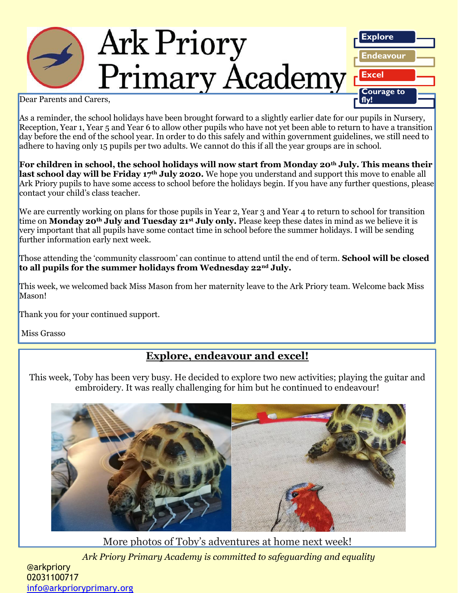

As a reminder, the school holidays have been brought forward to a slightly earlier date for our pupils in Nursery, Reception, Year 1, Year 5 and Year 6 to allow other pupils who have not yet been able to return to have a transition day before the end of the school year. In order to do this safely and within government guidelines, we still need to adhere to having only 15 pupils per two adults. We cannot do this if all the year groups are in school.

**For children in school, the school holidays will now start from Monday 20th July. This means their last school day will be Friday 17th July 2020.** We hope you understand and support this move to enable all Ark Priory pupils to have some access to school before the holidays begin. If you have any further questions, please contact your child's class teacher.

We are currently working on plans for those pupils in Year 2, Year 3 and Year 4 to return to school for transition time on **Monday 20th July and Tuesday 21st July only.** Please keep these dates in mind as we believe it is very important that all pupils have some contact time in school before the summer holidays. I will be sending further information early next week.

Those attending the 'community classroom' can continue to attend until the end of term. **School will be closed to all pupils for the summer holidays from Wednesday 22nd July.**

This week, we welcomed back Miss Mason from her maternity leave to the Ark Priory team. Welcome back Miss Mason!

Thank you for your continued support.

Miss Grasso

## **Explore, endeavour and excel!**

This week, Toby has been very busy. He decided to explore two new activities; playing the guitar and embroidery. It was really challenging for him but he continued to endeavour!



*Ark Priory Primary Academy is committed to safeguarding and equality*  More photos of Toby's adventures at home next week!

@arkpriory 02031100717 [info@arkprioryprimary.org](mailto:info@arkprioryprimary.org)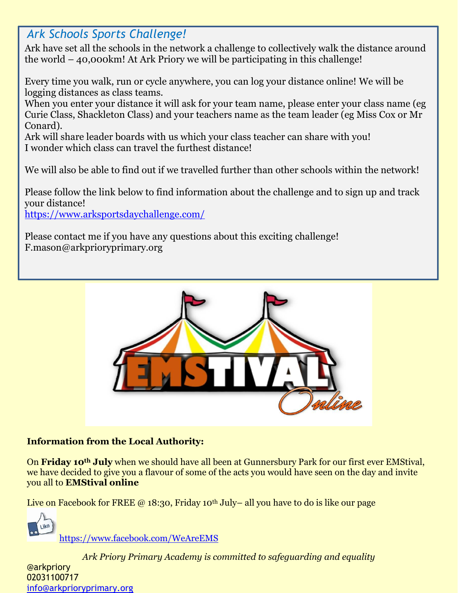# *Ark Schools Sports Challenge!*

Ark have set all the schools in the network a challenge to collectively walk the distance around the world  $-$  40,000km! At Ark Priory we will be participating in this challenge!

Every time you walk, run or cycle anywhere, you can log your distance online! We will be logging distances as class teams.

When you enter your distance it will ask for your team name, please enter your class name (eg Curie Class, Shackleton Class) and your teachers name as the team leader (eg Miss Cox or Mr Conard).

Ark will share leader boards with us which your class teacher can share with you! I wonder which class can travel the furthest distance!

We will also be able to find out if we travelled further than other schools within the network!

Please follow the link below to find information about the challenge and to sign up and track your distance!

<https://www.arksportsdaychallenge.com/>

Please contact me if you have any questions about this exciting challenge! F.mason@arkprioryprimary.org



## **Information from the Local Authority:**

On **Friday 10th July** when we should have all been at Gunnersbury Park for our first ever EMStival, we have decided to give you a flavour of some of the acts you would have seen on the day and invite you all to **EMStival online**

Live on Facebook for FREE  $\omega$  18:30, Friday 10<sup>th</sup> July– all you have to do is like our page

<https://www.facebook.com/WeAreEMS>

*Ark Priory Primary Academy is committed to safeguarding and equality* 

@arkpriory 02031100717 [info@arkprioryprimary.org](mailto:info@arkprioryprimary.org)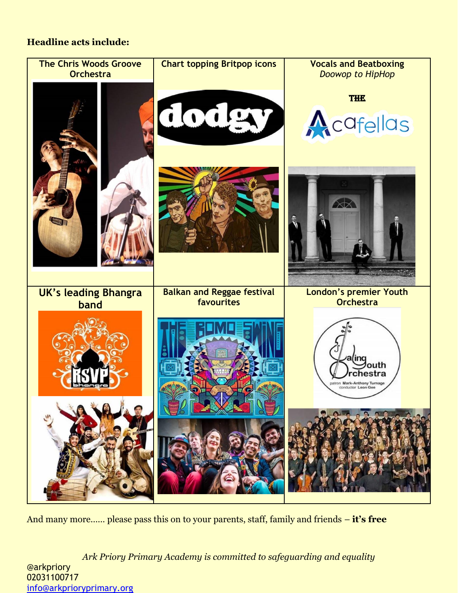## **Headline acts include:**



And many more…… please pass this on to your parents, staff, family and friends – **it's free**

*Ark Priory Primary Academy is committed to safeguarding and equality*  @arkpriory 02031100717 [info@arkprioryprimary.org](mailto:info@arkprioryprimary.org)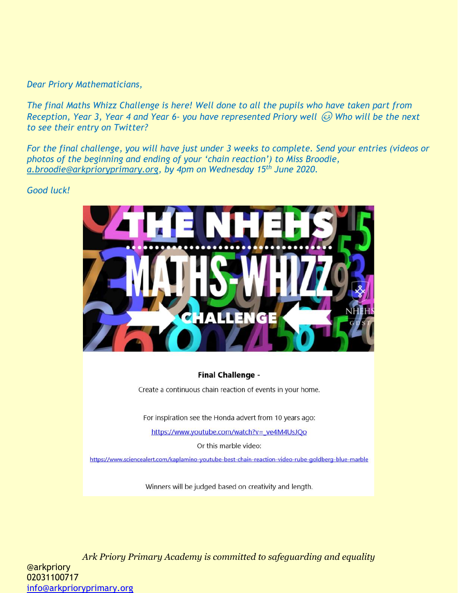#### *Dear Priory Mathematicians,*

*The final Maths Whizz Challenge is here! Well done to all the pupils who have taken part from Reception, Year 3, Year 4 and Year 6- you have represented Priory well Who will be the next to see their entry on Twitter?*

*For the final challenge, you will have just under 3 weeks to complete. Send your entries (videos or photos of the beginning and ending of your 'chain reaction') to Miss Broodie, [a.broodie@arkprioryprimary.org,](mailto:a.broodie@arkprioryprimary.org) by 4pm on Wednesday 15th June 2020.*

#### *Good luck!*



#### **Final Challenge -**

Create a continuous chain reaction of events in your home.

For inspiration see the Honda advert from 10 years ago:

https://www.youtube.com/watch?v=\_ve4M4UsJQo

Or this marble video:

https://www.sciencealert.com/kaplamino-youtube-best-chain-reaction-video-rube-goldberg-blue-marble

Winners will be judged based on creativity and length.

*Ark Priory Primary Academy is committed to safeguarding and equality*  @arkpriory 02031100717 [info@arkprioryprimary.org](mailto:info@arkprioryprimary.org)